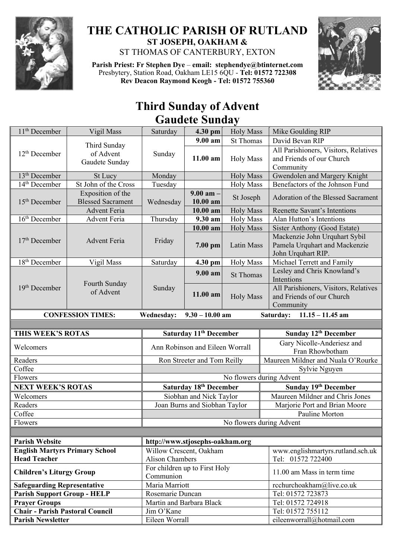

## **THE CATHOLIC PARISH OF RUTLAND ST JOSEPH, OAKHAM &**  ST THOMAS OF CANTERBURY, EXTON

**Parish Priest: Fr Stephen Dye** – **[email: stephendye@btinternet.com](mailto:email:%20%20stephendye@btinternet.com)** Presbytery, Station Road, Oakham LE15 6QU - **Tel: 01572 722308 Rev Deacon Raymond Keogh - Tel: 01572 755360**



## **Third Sunday of Advent Gaudete Sunday**

| 11 <sup>th</sup> December                                          | Vigil Mass                                    | Saturday                                   | 4.30 pm                            | <b>Holy Mass</b>         | Mike Goulding RIP                                                                    |  |
|--------------------------------------------------------------------|-----------------------------------------------|--------------------------------------------|------------------------------------|--------------------------|--------------------------------------------------------------------------------------|--|
| 12 <sup>th</sup> December                                          | Third Sunday<br>of Advent<br>Gaudete Sunday   | Sunday                                     | $9.00 a$ m                         | <b>St Thomas</b>         | David Bevan RIP                                                                      |  |
|                                                                    |                                               |                                            | 11.00 am                           | <b>Holy Mass</b>         | All Parishioners, Visitors, Relatives<br>and Friends of our Church<br>Community      |  |
| $13th$ December                                                    | St Lucy                                       | Monday                                     |                                    | <b>Holy Mass</b>         | Gwendolen and Margery Knight                                                         |  |
| 14 <sup>th</sup> December                                          | St John of the Cross                          | Tuesday                                    |                                    | <b>Holy Mass</b>         | Benefactors of the Johnson Fund                                                      |  |
| $15th$ December                                                    | Exposition of the<br><b>Blessed Sacrament</b> | Wednesday                                  | $9.00$ am $-$<br>10.00 am          | St Joseph                | Adoration of the Blessed Sacrament                                                   |  |
|                                                                    | <b>Advent Feria</b>                           |                                            | $10.00$ am                         | <b>Holy Mass</b>         | Reenette Savant's Intentions                                                         |  |
| 16 <sup>th</sup> December                                          | Advent Feria                                  | Thursday                                   | $\overline{9.30}$ am               | <b>Holy Mass</b>         | Alan Hutton's Intentions                                                             |  |
|                                                                    | <b>Advent Feria</b>                           | Friday                                     | 10.00 am                           | <b>Holy Mass</b>         | Sister Anthony (Good Estate)                                                         |  |
| $17th$ December                                                    |                                               |                                            | 7.00 pm                            | Latin Mass               | Mackenzie John Urquhart Sybil<br>Pamela Urquhart and Mackenzie<br>John Urquhart RIP. |  |
| 18 <sup>th</sup> December                                          | Vigil Mass                                    | Saturday                                   | 4.30 pm                            | <b>Holy Mass</b>         | Michael Terrett and Family                                                           |  |
| 19 <sup>th</sup> December                                          | Fourth Sunday<br>of Advent                    | Sunday                                     | 9.00 am                            | <b>St Thomas</b>         | Lesley and Chris Knowland's<br>Intentions                                            |  |
|                                                                    |                                               |                                            | 11.00 am                           | <b>Holy Mass</b>         | All Parishioners, Visitors, Relatives<br>and Friends of our Church<br>Community      |  |
|                                                                    | <b>CONFESSION TIMES:</b>                      | <b>Wednesday:</b>                          | $9.30 - 10.00$ am                  |                          | $11.15 - 11.45$ am<br>Saturday:                                                      |  |
|                                                                    |                                               |                                            |                                    |                          |                                                                                      |  |
|                                                                    |                                               |                                            |                                    |                          |                                                                                      |  |
| THIS WEEK'S ROTAS                                                  |                                               |                                            | Saturday 11 <sup>th</sup> December |                          | Sunday 12th December                                                                 |  |
| Welcomers                                                          |                                               |                                            | Ann Robinson and Eileen Worrall    |                          | Gary Nicolle-Anderiesz and<br>Fran Rhowbotham                                        |  |
| Readers                                                            |                                               |                                            | Ron Streeter and Tom Reilly        |                          | Maureen Mildner and Nuala O'Rourke                                                   |  |
| Coffee                                                             |                                               |                                            |                                    |                          | Sylvie Nguyen                                                                        |  |
| Flowers                                                            |                                               |                                            |                                    | No flowers during Advent |                                                                                      |  |
| <b>NEXT WEEK'S ROTAS</b>                                           |                                               |                                            | Saturday 18th December             |                          | Sunday 19th December                                                                 |  |
| Welcomers                                                          |                                               |                                            | Siobhan and Nick Taylor            |                          | Maureen Mildner and Chris Jones                                                      |  |
| Readers                                                            |                                               |                                            | Joan Burns and Siobhan Taylor      |                          | Marjorie Port and Brian Moore                                                        |  |
| Coffee                                                             |                                               |                                            |                                    |                          | Pauline Morton                                                                       |  |
| Flowers                                                            |                                               |                                            |                                    |                          | No flowers during Advent                                                             |  |
|                                                                    |                                               |                                            |                                    |                          |                                                                                      |  |
| <b>Parish Website</b>                                              |                                               | http://www.stjosephs-oakham.org            |                                    |                          |                                                                                      |  |
| <b>English Martyrs Primary School</b>                              |                                               | Willow Crescent, Oakham                    |                                    |                          | www.englishmartyrs.rutland.sch.uk                                                    |  |
| <b>Head Teacher</b>                                                |                                               | <b>Alison Chambers</b>                     |                                    |                          | Tel: 01572 722400                                                                    |  |
| <b>Children's Liturgy Group</b>                                    |                                               | For children up to First Holy<br>Communion |                                    |                          | 11.00 am Mass in term time                                                           |  |
| <b>Safeguarding Representative</b>                                 |                                               | Maria Marriott                             |                                    |                          | rcchurchoakham@live.co.uk                                                            |  |
| <b>Parish Support Group - HELP</b>                                 |                                               | Rosemarie Duncan                           |                                    |                          | Tel: 01572 723873                                                                    |  |
| <b>Prayer Groups</b>                                               |                                               | Martin and Barbara Black                   |                                    |                          | Tel: 01572 724918                                                                    |  |
| <b>Chair - Parish Pastoral Council</b><br><b>Parish Newsletter</b> |                                               | Jim O'Kane<br>Eileen Worrall               |                                    |                          | Tel: 01572 755112<br>eileenworrall@hotmail.com                                       |  |